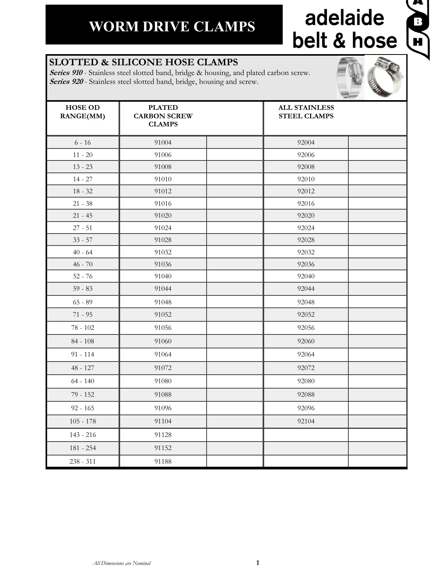## adelaide belt & hose

**Q** 

#### **SLOTTED & SILICONE HOSE CLAMPS**

**Series 910** - Stainless steel slotted band, bridge & housing, and plated carbon screw. **Series 920** - Stainless steel slotted band, bridge, housing and screw.

| <b>HOSE OD</b><br><b>RANGE(MM)</b> | <b>PLATED</b><br><b>CARBON SCREW</b><br><b>CLAMPS</b> | <b>ALL STAINLESS</b><br><b>STEEL CLAMPS</b> |  |
|------------------------------------|-------------------------------------------------------|---------------------------------------------|--|
| $6 - 16$                           | 91004                                                 | 92004                                       |  |
| $11 - 20$                          | 91006                                                 | 92006                                       |  |
| $13 - 23$                          | 91008                                                 | 92008                                       |  |
| $14 - 27$                          | 91010                                                 | 92010                                       |  |
| $18 - 32$                          | 91012                                                 | 92012                                       |  |
| $21 - 38$                          | 91016                                                 | 92016                                       |  |
| $21 - 45$                          | 91020                                                 | 92020                                       |  |
| $27 - 51$                          | 91024                                                 | 92024                                       |  |
| $33 - 57$                          | 91028                                                 | 92028                                       |  |
| $40 - 64$                          | 91032                                                 | 92032                                       |  |
| $46 - 70$                          | 91036                                                 | 92036                                       |  |
| $52 - 76$                          | 91040                                                 | 92040                                       |  |
| $59 - 83$                          | 91044                                                 | 92044                                       |  |
| $65 - 89$                          | 91048                                                 | 92048                                       |  |
| $71 - 95$                          | 91052                                                 | 92052                                       |  |
| $78 - 102$                         | 91056                                                 | 92056                                       |  |
| $84 - 108$                         | 91060                                                 | 92060                                       |  |
| $91 - 114$                         | 91064                                                 | 92064                                       |  |
| $48 - 127$                         | 91072                                                 | 92072                                       |  |
| $64 - 140$                         | 91080                                                 | 92080                                       |  |
| $79 - 152$                         | 91088                                                 | 92088                                       |  |
| $92 - 165$                         | 91096                                                 | 92096                                       |  |
| $105 - 178$                        | 91104                                                 | 92104                                       |  |
| $143 - 216$                        | 91128                                                 |                                             |  |
| 181 - 254                          | 91152                                                 |                                             |  |
| $238 - 311$                        | 91188                                                 |                                             |  |